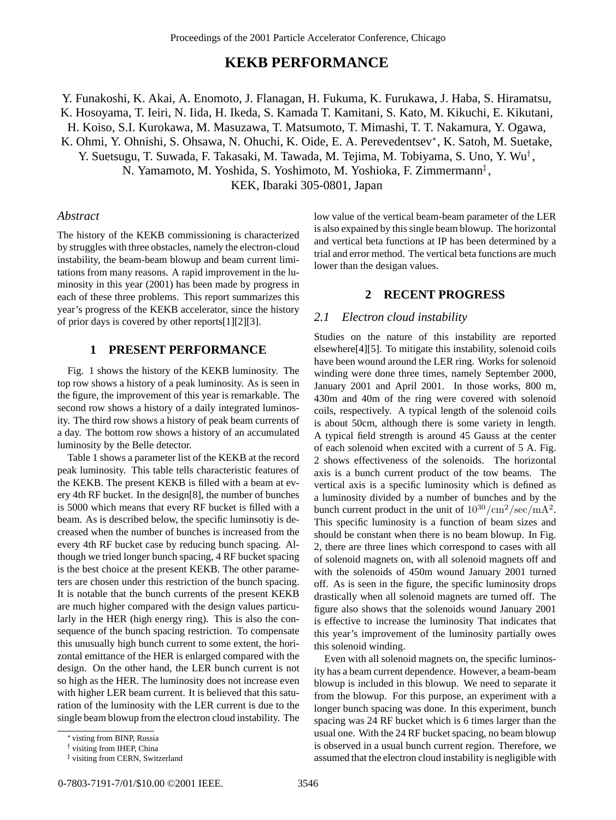# **KEKB PERFORMANCE**

Y. Funakoshi, K. Akai, A. Enomoto, J. Flanagan, H. Fukuma, K. Furukawa, J. Haba, S. Hiramatsu, K. Hosoyama, T. Ieiri, N. Iida, H. Ikeda, S. Kamada T. Kamitani, S. Kato, M. Kikuchi, E. Kikutani, H. Koiso, S.I. Kurokawa, M. Masuzawa, T. Matsumoto, T. Mimashi, T. T. Nakamura, Y. Ogawa, K. Ohmi, Y. Ohnishi, S. Ohsawa, N. Ohuchi, K. Oide, E. A. Perevedentsev∗, K. Satoh, M. Suetake,

Y. Suetsugu, T. Suwada, F. Takasaki, M. Tawada, M. Tejima, M. Tobiyama, S. Uno, Y. Wu† , N. Yamamoto, M. Yoshida, S. Yoshimoto, M. Yoshioka, F. Zimmermann‡ ,

KEK, Ibaraki 305-0801, Japan

# *Abstract*

The history of the KEKB commissioning is characterized by struggles with three obstacles, namely the electron-cloud instability, the beam-beam blowup and beam current limitations from many reasons. A rapid improvement in the luminosity in this year (2001) has been made by progress in each of these three problems. This report summarizes this year's progress of the KEKB accelerator, since the history of prior days is covered by other reports[1][2][3].

# **1 PRESENT PERFORMANCE**

Fig. 1 shows the history of the KEKB luminosity. The top row shows a history of a peak luminosity. As is seen in the figure, the improvement of this year is remarkable. The second row shows a history of a daily integrated luminosity. The third row shows a history of peak beam currents of a day. The bottom row shows a history of an accumulated luminosity by the Belle detector.

Table 1 shows a parameter list of the KEKB at the record peak luminosity. This table tells characteristic features of the KEKB. The present KEKB is filled with a beam at every 4th RF bucket. In the design[8], the number of bunches is 5000 which means that every RF bucket is filled with a beam. As is described below, the specific luminsotiy is decreased when the number of bunches is increased from the every 4th RF bucket case by reducing bunch spacing. Although we tried longer bunch spacing, 4 RF bucket spacing is the best choice at the present KEKB. The other parameters are chosen under this restriction of the bunch spacing. It is notable that the bunch currents of the present KEKB are much higher compared with the design values particularly in the HER (high energy ring). This is also the consequence of the bunch spacing restriction. To compensate this unusually high bunch current to some extent, the horizontal emittance of the HER is enlarged compared with the design. On the other hand, the LER bunch current is not so high as the HER. The luminosity does not increase even with higher LER beam current. It is believed that this saturation of the luminosity with the LER current is due to the single beam blowup from the electron cloud instability. The

low value of the vertical beam-beam parameter of the LER is also expained by this single beam blowup. The horizontal and vertical beta functions at IP has been determined by a trial and error method. The vertical beta functions are much lower than the desigan values.

#### **2 RECENT PROGRESS**

# *2.1 Electron cloud instability*

Studies on the nature of this instability are reported elsewhere[4][5]. To mitigate this instability, solenoid coils have been wound around the LER ring. Works for solenoid winding were done three times, namely September 2000, January 2001 and April 2001. In those works, 800 m, 430m and 40m of the ring were covered with solenoid coils, respectively. A typical length of the solenoid coils is about 50cm, although there is some variety in length. A typical field strength is around 45 Gauss at the center of each solenoid when excited with a current of 5 A. Fig. 2 shows effectiveness of the solenoids. The horizontal axis is a bunch current product of the tow beams. The vertical axis is a specific luminosity which is defined as a luminosity divided by a number of bunches and by the bunch current product in the unit of  $10^{30}/\text{cm}^2/\text{sec}/\text{mA}^2$ . This specific luminosity is a function of beam sizes and should be constant when there is no beam blowup. In Fig. 2, there are three lines which correspond to cases with all of solenoid magnets on, with all solenoid magnets off and with the solenoids of 450m wound January 2001 turned off. As is seen in the figure, the specific luminosity drops drastically when all solenoid magnets are turned off. The figure also shows that the solenoids wound January 2001 is effective to increase the luminosity That indicates that this year's improvement of the luminosity partially owes this solenoid winding.

Even with all solenoid magnets on, the specific luminosity has a beam current dependence. However, a beam-beam blowup is included in this blowup. We need to separate it from the blowup. For this purpose, an experiment with a longer bunch spacing was done. In this experiment, bunch spacing was 24 RF bucket which is 6 times larger than the usual one. With the 24 RF bucket spacing, no beam blowup is observed in a usual bunch current region. Therefore, we assumed that the electron cloud instability is negligible with

<sup>∗</sup> visting from BINP, Russia

<sup>†</sup> visiting from IHEP, China

<sup>‡</sup> visiting from CERN, Switzerland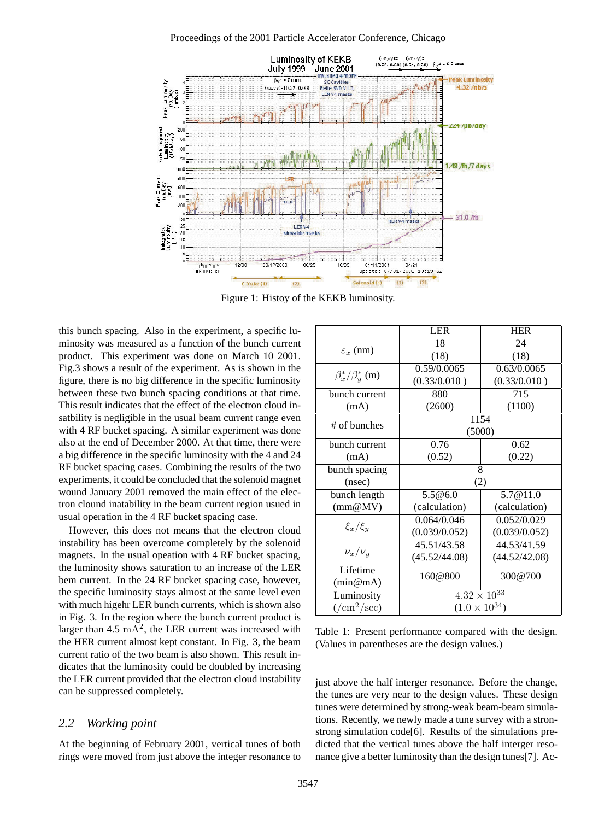

Figure 1: Histoy of the KEKB luminosity.

this bunch spacing. Also in the experiment, a specific luminosity was measured as a function of the bunch current product. This experiment was done on March 10 2001. Fig.3 shows a result of the experiment. As is shown in the figure, there is no big difference in the specific luminosity between these two bunch spacing conditions at that time. This result indicates that the effect of the electron cloud insatbility is negligible in the usual beam current range even with 4 RF bucket spacing. A similar experiment was done also at the end of December 2000. At that time, there were a big difference in the specific luminosity with the 4 and 24 RF bucket spacing cases. Combining the results of the two experiments, it could be concluded that the solenoid magnet wound January 2001 removed the main effect of the electron clound inatability in the beam current region usued in usual operation in the 4 RF bucket spacing case.

However, this does not means that the electron cloud instability has been overcome completely by the solenoid magnets. In the usual opeation with 4 RF bucket spacing, the luminosity shows saturation to an increase of the LER bem current. In the 24 RF bucket spacing case, however, the specific luminosity stays almost at the same level even with much higehr LER bunch currents, which is shown also in Fig. 3. In the region where the bunch current product is larger than  $4.5 \text{ mA}^2$ , the LER current was increased with the HER current almost kept constant. In Fig. 3, the beam current ratio of the two beam is also shown. This result indicates that the luminosity could be doubled by increasing the LER current provided that the electron cloud instability can be suppressed completely.

#### *2.2 Working point*

At the beginning of February 2001, vertical tunes of both rings were moved from just above the integer resonance to

|                                    | <b>LER</b>                       | <b>HER</b>    |
|------------------------------------|----------------------------------|---------------|
| $\varepsilon_x$ (nm)               | 18                               | 24            |
|                                    | (18)                             | (18)          |
| $\beta_x^*/\beta_y^*$ (m)          | 0.59/0.0065                      | 0.63/0.0065   |
|                                    | (0.33/0.010)                     | (0.33/0.010)  |
| bunch current                      | 880                              | 715           |
| (mA)                               | (2600)                           | (1100)        |
| # of bunches                       | 1154                             |               |
|                                    | (5000)                           |               |
| bunch current                      | 0.76                             | 0.62          |
| (mA)                               | (0.52)                           | (0.22)        |
| bunch spacing                      | 8                                |               |
| (nsec)                             | (2)                              |               |
| bunch length                       | 5.5@6.0                          | 5.7@11.0      |
| (mm@MV)                            | (calculation)                    | (calculation) |
| $\xi_x/\xi_y$                      | 0.064/0.046                      | 0.052/0.029   |
|                                    | (0.039/0.052)                    | (0.039/0.052) |
| $\nu_x/\nu_y$                      | 45.51/43.58                      | 44.53/41.59   |
|                                    | (45.52/44.08)                    | (44.52/42.08) |
| Lifetime                           | 160@800                          | 300@700       |
| (min@mA)                           |                                  |               |
| Luminosity                         | $4.\overline{32 \times 10^{33}}$ |               |
| $\frac{1}{\text{cm}^2/\text{sec}}$ | $(1.0 \times 10^{34})$           |               |

Table 1: Present performance compared with the design. (Values in parentheses are the design values.)

just above the half interger resonance. Before the change, the tunes are very near to the design values. These design tunes were determined by strong-weak beam-beam simulations. Recently, we newly made a tune survey with a stronstrong simulation code[6]. Results of the simulations predicted that the vertical tunes above the half interger resonance give a better luminosity than the design tunes[7]. Ac-